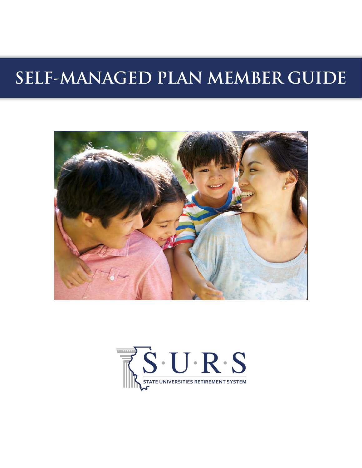# **SELF-MANAGED PLAN MEMBER GUIDE**



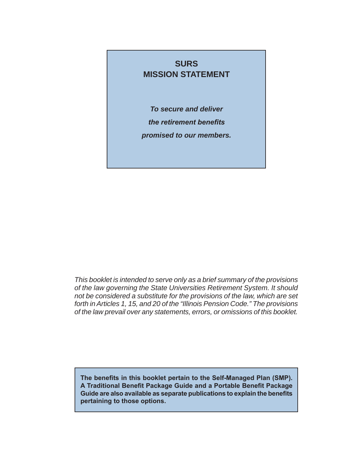## **SURS MISSION STATEMENT**

*To secure and deliver the retirement benefits promised to our members.*

*This booklet is intended to serve only as a brief summary of the provisions of the law governing the State Universities Retirement System. It should not be considered a substitute for the provisions of the law, which are set forth in Articles 1, 15, and 20 of the "Illinois Pension Code." The provisions of the law prevail over any statements, errors, or omissions of this booklet.*

**The benefits in this booklet pertain to the Self-Managed Plan (SMP). A Traditional Benefit Package Guide and a Portable Benefit Package Guide are also available as separate publications to explain the benefits pertaining to those options.**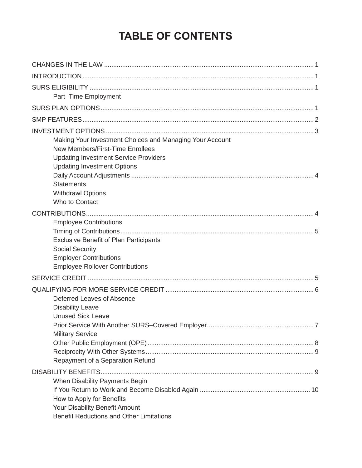# **TABLE OF CONTENTS**

| Part-Time Employment                                                                                                                                                               |  |
|------------------------------------------------------------------------------------------------------------------------------------------------------------------------------------|--|
|                                                                                                                                                                                    |  |
|                                                                                                                                                                                    |  |
| Making Your Investment Choices and Managing Your Account<br>New Members/First-Time Enrollees<br><b>Updating Investment Service Providers</b><br><b>Updating Investment Options</b> |  |
| <b>Statements</b><br><b>Withdrawl Options</b><br>Who to Contact                                                                                                                    |  |
|                                                                                                                                                                                    |  |
| <b>Employee Contributions</b>                                                                                                                                                      |  |
| <b>Exclusive Benefit of Plan Participants</b><br><b>Social Security</b><br><b>Employer Contributions</b><br><b>Employee Rollover Contributions</b>                                 |  |
|                                                                                                                                                                                    |  |
| Deferred Leaves of Absence<br><b>Disability Leave</b><br><b>Unused Sick Leave</b>                                                                                                  |  |
| <b>Military Service</b>                                                                                                                                                            |  |
|                                                                                                                                                                                    |  |
| Repayment of a Separation Refund                                                                                                                                                   |  |
|                                                                                                                                                                                    |  |
| When Disability Payments Begin<br>How to Apply for Benefits<br>Your Disability Benefit Amount<br><b>Benefit Reductions and Other Limitations</b>                                   |  |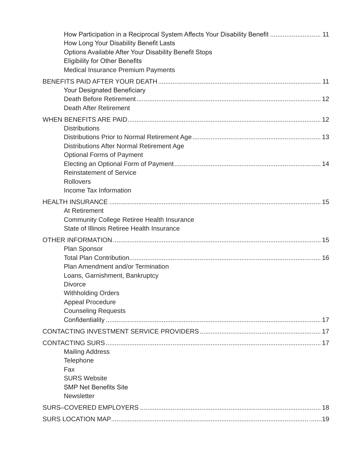| How Participation in a Reciprocal System Affects Your Disability Benefit  11<br>How Long Your Disability Benefit Lasts<br>Options Available After Your Disability Benefit Stops<br><b>Eligibility for Other Benefits</b><br>Medical Insurance Premium Payments |
|----------------------------------------------------------------------------------------------------------------------------------------------------------------------------------------------------------------------------------------------------------------|
| <b>Your Designated Beneficiary</b><br><b>Death After Retirement</b>                                                                                                                                                                                            |
| <b>Distributions</b>                                                                                                                                                                                                                                           |
| <b>Distributions After Normal Retirement Age</b><br><b>Optional Forms of Payment</b>                                                                                                                                                                           |
| <b>Reinstatement of Service</b><br><b>Rollovers</b>                                                                                                                                                                                                            |
| Income Tax Information                                                                                                                                                                                                                                         |
| At Retirement                                                                                                                                                                                                                                                  |
| <b>Community College Retiree Health Insurance</b><br>State of Illinois Retiree Health Insurance                                                                                                                                                                |
|                                                                                                                                                                                                                                                                |
| Plan Sponsor                                                                                                                                                                                                                                                   |
|                                                                                                                                                                                                                                                                |
| Plan Amendment and/or Termination                                                                                                                                                                                                                              |
| Loans, Garnishment, Bankruptcy<br><b>Divorce</b>                                                                                                                                                                                                               |
| <b>Withholding Orders</b>                                                                                                                                                                                                                                      |
| <b>Appeal Procedure</b>                                                                                                                                                                                                                                        |
| <b>Counseling Requests</b>                                                                                                                                                                                                                                     |
|                                                                                                                                                                                                                                                                |
|                                                                                                                                                                                                                                                                |
|                                                                                                                                                                                                                                                                |
| <b>Mailing Address</b>                                                                                                                                                                                                                                         |
| Telephone<br>Fax                                                                                                                                                                                                                                               |
| <b>SURS Website</b>                                                                                                                                                                                                                                            |
| <b>SMP Net Benefits Site</b>                                                                                                                                                                                                                                   |
| <b>Newsletter</b>                                                                                                                                                                                                                                              |
|                                                                                                                                                                                                                                                                |
|                                                                                                                                                                                                                                                                |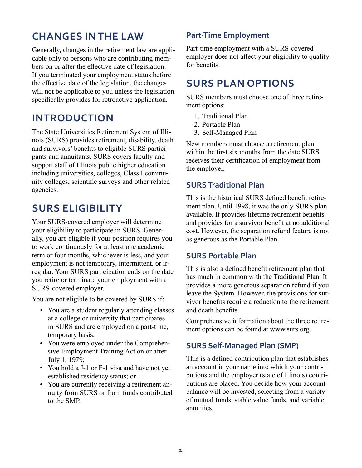# **CHANGES IN THE LAW**

Generally, changes in the retirement law are applicable only to persons who are contributing members on or after the effective date of legislation. If you terminated your employment status before the effective date of the legislation, the changes will not be applicable to you unless the legislation specifically provides for retroactive application.

# **INTRODUCTION**

The State Universities Retirement System of Illinois (SURS) provides retirement, disability, death and survivors' benefits to eligible SURS participants and annuitants. SURS covers faculty and support staff of Illinois public higher education including universities, colleges, Class I community colleges, scientific surveys and other related agencies.

# **SURS ELIGIBILITY**

Your SURS-covered employer will determine your eligibility to participate in SURS. Generally, you are eligible if your position requires you to work continuously for at least one academic term or four months, whichever is less, and your employment is not temporary, intermittent, or irregular. Your SURS participation ends on the date you retire or terminate your employment with a SURS-covered employer.

You are not eligible to be covered by SURS if:

- You are a student regularly attending classes at a college or university that participates in SURS and are employed on a part-time, temporary basis;
- You were employed under the Comprehensive Employment Training Act on or after July 1, 1979;
- You hold a J-1 or F-1 visa and have not yet established residency status; or
- You are currently receiving a retirement annuity from SURS or from funds contributed to the SMP.

## **Part-Time Employment**

Part-time employment with a SURS-covered employer does not affect your eligibility to qualify for benefits.

# **SURS PLAN OPTIONS**

SURS members must choose one of three retirement options:

- 1. Traditional Plan
- 2. Portable Plan
- 3. Self-Managed Plan

New members must choose a retirement plan within the first six months from the date SURS receives their certification of employment from the employer.

## **SURS Traditional Plan**

This is the historical SURS defined benefit retirement plan. Until 1998, it was the only SURS plan available. It provides lifetime retirement benefits and provides for a survivor benefit at no additional cost. However, the separation refund feature is not as generous as the Portable Plan.

## **SURS Portable Plan**

This is also a defined benefit retirement plan that has much in common with the Traditional Plan. It provides a more generous separation refund if you leave the System. However, the provisions for survivor benefits require a reduction to the retirement and death benefits.

Comprehensive information about the three retirement options can be found at www.surs.org.

## **SURS Self-Managed Plan (SMP)**

This is a defined contribution plan that establishes an account in your name into which your contributions and the employer (state of Illinois) contributions are placed. You decide how your account balance will be invested, selecting from a variety of mutual funds, stable value funds, and variable annuities.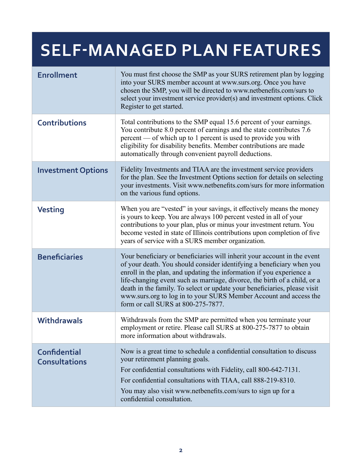# **SELF-MANAGED PLAN FEATURES**

| <b>Enrollment</b>                           | You must first choose the SMP as your SURS retirement plan by logging<br>into your SURS member account at www.surs.org. Once you have<br>chosen the SMP, you will be directed to www.netbenefits.com/surs to<br>select your investment service provider(s) and investment options. Click<br>Register to get started.                                                                                                                                                                           |
|---------------------------------------------|------------------------------------------------------------------------------------------------------------------------------------------------------------------------------------------------------------------------------------------------------------------------------------------------------------------------------------------------------------------------------------------------------------------------------------------------------------------------------------------------|
| <b>Contributions</b>                        | Total contributions to the SMP equal 15.6 percent of your earnings.<br>You contribute 8.0 percent of earnings and the state contributes 7.6<br>percent — of which up to 1 percent is used to provide you with<br>eligibility for disability benefits. Member contributions are made<br>automatically through convenient payroll deductions.                                                                                                                                                    |
| <b>Investment Options</b>                   | Fidelity Investments and TIAA are the investment service providers<br>for the plan. See the Investment Options section for details on selecting<br>your investments. Visit www.netbenefits.com/surs for more information<br>on the various fund options.                                                                                                                                                                                                                                       |
| <b>Vesting</b>                              | When you are "vested" in your savings, it effectively means the money<br>is yours to keep. You are always 100 percent vested in all of your<br>contributions to your plan, plus or minus your investment return. You<br>become vested in state of Illinois contributions upon completion of five<br>years of service with a SURS member organization.                                                                                                                                          |
| <b>Beneficiaries</b>                        | Your beneficiary or beneficiaries will inherit your account in the event<br>of your death. You should consider identifying a beneficiary when you<br>enroll in the plan, and updating the information if you experience a<br>life-changing event such as marriage, divorce, the birth of a child, or a<br>death in the family. To select or update your beneficiaries, please visit<br>www.surs.org to log in to your SURS Member Account and access the<br>form or call SURS at 800-275-7877. |
| <b>Withdrawals</b>                          | Withdrawals from the SMP are permitted when you terminate your<br>employment or retire. Please call SURS at 800-275-7877 to obtain<br>more information about withdrawals.                                                                                                                                                                                                                                                                                                                      |
| <b>Confidential</b><br><b>Consultations</b> | Now is a great time to schedule a confidential consultation to discuss<br>your retirement planning goals.<br>For confidential consultations with Fidelity, call 800-642-7131.<br>For confidential consultations with TIAA, call 888-219-8310.<br>You may also visit www.netbenefits.com/surs to sign up for a<br>confidential consultation.                                                                                                                                                    |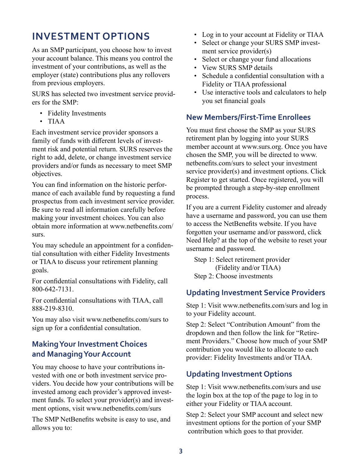# **INVESTMENT OPTIONS**

As an SMP participant, you choose how to invest your account balance. This means you control the investment of your contributions, as well as the employer (state) contributions plus any rollovers from previous employers.

SURS has selected two investment service providers for the SMP:

- Fidelity Investments
- TIAA

Each investment service provider sponsors a family of funds with different levels of investment risk and potential return. SURS reserves the right to add, delete, or change investment service providers and/or funds as necessary to meet SMP objectives.

You can find information on the historic performance of each available fund by requesting a fund prospectus from each investment service provider. Be sure to read all information carefully before making your investment choices. You can also obtain more information at www.netbenefits.com/ surs.

You may schedule an appointment for a confidential consultation with either Fidelity Investments or TIAA to discuss your retirement planning goals.

For confidential consultations with Fidelity, call 800-642-7131.

For confidential consultations with TIAA, call 888-219-8310.

You may also visit www.netbenefits.com/surs to sign up for a confidential consultation.

## **Making Your Investment Choices and Managing Your Account**

You may choose to have your contributions invested with one or both investment service providers. You decide how your contributions will be invested among each provider's approved investment funds. To select your provider(s) and investment options, visit www.netbenefits.com/surs

The SMP NetBenefits website is easy to use, and allows you to:

- Log in to your account at Fidelity or TIAA
- Select or change your SURS SMP investment service provider(s)
- Select or change your fund allocations
- View SURS SMP details
- Schedule a confidential consultation with a Fidelity or TIAA professional
- Use interactive tools and calculators to help you set financial goals

## **New Members/First-Time Enrollees**

You must first choose the SMP as your SURS retirement plan by logging into your SURS member account at www.surs.org. Once you have chosen the SMP, you will be directed to www. netbenefits.com/surs to select your investment service provider(s) and investment options. Click Register to get started. Once registered, you will be prompted through a step-by-step enrollment process.

If you are a current Fidelity customer and already have a username and password, you can use them to access the NetBenefits website. If you have forgotten your username and/or password, click Need Help? at the top of the website to reset your username and password.

Step 1: Select retirement provider (Fidelity and/or TIAA) Step 2: Choose investments

## **Updating Investment Service Providers**

Step 1: Visit www.netbenefits.com/surs and log in to your Fidelity account.

Step 2: Select "Contribution Amount" from the dropdown and then follow the link for "Retirement Providers." Choose how much of your SMP contribution you would like to allocate to each provider: Fidelity Investments and/or TIAA.

## **Updating Investment Options**

Step 1: Visit www.netbenefits.com/surs and use the login box at the top of the page to log in to either your Fidelity or TIAA account.

Step 2: Select your SMP account and select new investment options for the portion of your SMP contribution which goes to that provider.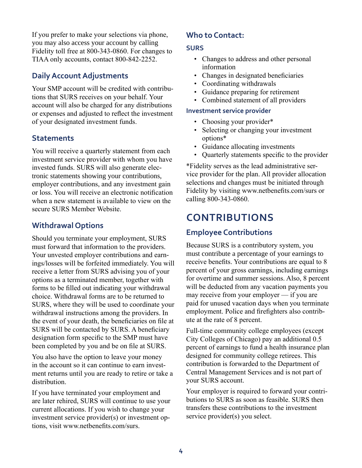If you prefer to make your selections via phone, you may also access your account by calling Fidelity toll free at 800-343-0860. For changes to TIAA only accounts, contact 800-842-2252.

## **Daily Account Adjustments**

Your SMP account will be credited with contributions that SURS receives on your behalf. Your account will also be charged for any distributions or expenses and adjusted to reflect the investment of your designated investment funds.

#### **Statements**

You will receive a quarterly statement from each investment service provider with whom you have invested funds. SURS will also generate electronic statements showing your contributions, employer contributions, and any investment gain or loss. You will receive an electronic notification when a new statement is available to view on the secure SURS Member Website.

#### **Withdrawal Options**

Should you terminate your employment, SURS must forward that information to the providers. Your unvested employer contributions and earnings/losses will be forfeited immediately. You will receive a letter from SURS advising you of your options as a terminated member, together with forms to be filled out indicating your withdrawal choice. Withdrawal forms are to be returned to SURS, where they will be used to coordinate your withdrawal instructions among the providers. In the event of your death, the beneficiaries on file at SURS will be contacted by SURS. A beneficiary designation form specific to the SMP must have been completed by you and be on file at SURS.

You also have the option to leave your money in the account so it can continue to earn investment returns until you are ready to retire or take a distribution.

If you have terminated your employment and are later rehired, SURS will continue to use your current allocations. If you wish to change your investment service provider(s) or investment options, visit www.netbenefits.com/surs.

## **Who to Contact:**

#### **SURS**

- Changes to address and other personal information
- Changes in designated beneficiaries
- Coordinating withdrawals
- Guidance preparing for retirement
- Combined statement of all providers

#### **Investment service provider**

- Choosing your provider\*
- Selecting or changing your investment options\*
- Guidance allocating investments
- Quarterly statements specific to the provider

\*Fidelity serves as the lead administrative service provider for the plan. All provider allocation selections and changes must be initiated through Fidelity by visiting www.netbenefits.com/surs or calling 800-343-0860.

# **CONTRIBUTIONS**

## **Employee Contributions**

Because SURS is a contributory system, you must contribute a percentage of your earnings to receive benefits. Your contributions are equal to 8 percent of your gross earnings, including earnings for overtime and summer sessions. Also, 8 percent will be deducted from any vacation payments you may receive from your employer — if you are paid for unused vacation days when you terminate employment. Police and firefighters also contribute at the rate of 8 percent.

Full-time community college employees (except City Colleges of Chicago) pay an additional 0.5 percent of earnings to fund a health insurance plan designed for community college retirees. This contribution is forwarded to the Department of Central Management Services and is not part of your SURS account.

Your employer is required to forward your contributions to SURS as soon as feasible. SURS then transfers these contributions to the investment service provider(s) you select.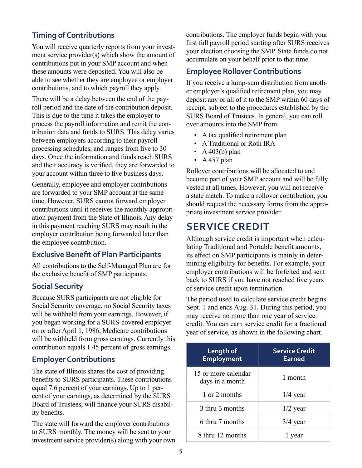## **Timing of Contributions**

You will receive quarterly reports from your investment service provider(s) which show the amount of contributions put in your SMP account and when these amounts were deposited. You will also be able to see whether they are employee or employer contributions, and to which payroll they apply.

There will be a delay between the end of the payroll period and the date of the contribution deposit. This is due to the time it takes the employer to process the payroll information and remit the contribution data and funds to SURS. This delay varies between employers according to their payroll processing schedules, and ranges from five to 30 days. Once the information and funds reach SURS and their accuracy is verified, they are forwarded to your account within three to five business days.

Generally, employee and employer contributions are forwarded to your SMP account at the same time. However, SURS cannot forward employer contributions until it receives the monthly appropriation payment from the State of Illinois. Any delay in this payment reaching SURS may result in the employer contribution being forwarded later than the employee contribution.

#### **Exclusive Benefit of Plan Participants**

All contributions to the Self-Managed Plan are for the exclusive benefit of SMP participants.

#### **Social Security**

Because SURS participants are not eligible for Social Security coverage, no Social Security taxes will be withheld from your earnings. However, if you began working for a SURS-covered employer on or after April 1, 1986, Medicare contributions will be withheld from gross earnings. Currently this contribution equals 1.45 percent of gross earnings.

## **Employer Contributions**

The state of Illinois shares the cost of providing benefits to SURS participants. These contributions equal 7.6 percent of your earnings. Up to 1 percent of your earnings, as determined by the SURS Board of Trustees, will finance your SURS disability benefits.

The state will forward the employer contributions to SURS monthly. The money will be sent to your investment service provider(s) along with your own contributions. The employer funds begin with your first full payroll period starting after SURS receives your election choosing the SMP. State funds do not accumulate on your behalf prior to that time.

## **Employee Rollover Contributions**

If you receive a lump-sum distribution from another employer's qualified retirement plan, you may deposit any or all of it to the SMP within 60 days of receipt, subject to the procedures established by the SURS Board of Trustees. In general, you can roll over amounts into the SMP from:

- A tax qualified retirement plan
- A Traditional or Roth IRA
- $A$  403(b) plan
- A 457 plan

Rollover contributions will be allocated to and become part of your SMP account and will be fully vested at all times. However, you will not receive a state match. To make a rollover contribution, you should request the necessary forms from the appropriate investment service provider.

## **SERVICE CREDIT**

Although service credit is important when calculating Traditional and Portable benefit amounts, its effect on SMP participants is mainly in determining eligibility for benefits. For example, your employer contributions will be forfeited and sent back to SURS if you have not reached five years of service credit upon termination.

The period used to calculate service credit begins Sept. 1 and ends Aug. 31. During this period, you may receive no more than one year of service credit. You can earn service credit for a fractional year of service, as shown in the following chart.

| Length of<br><b>Employment</b>         | <b>Service Credit</b><br>Earned |
|----------------------------------------|---------------------------------|
| 15 or more calendar<br>days in a month | 1 month                         |
| 1 or 2 months                          | $1/4$ year                      |
| 3 thru 5 months                        | $1/2$ year                      |
| 6 thru 7 months                        | $3/4$ year                      |
| 8 thru 12 months                       | 1 year                          |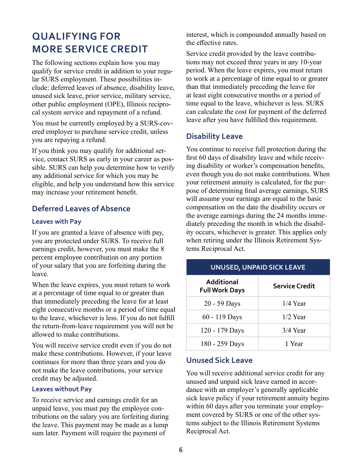# **QUALIFYING FOR MORE SERVICE CREDIT**

The following sections explain how you may qualify for service credit in addition to your regular SURS employment. These possibilities include: deferred leaves of absence, disability leave, unused sick leave, prior service, military service, other public employment (OPE), Illinois reciprocal system service and repayment of a refund.

You must be currently employed by a SURS-covered employer to purchase service credit, unless you are repaying a refund.

If you think you may qualify for additional service, contact SURS as early in your career as possible. SURS can help you determine how to verify any additional service for which you may be eligible, and help you understand how this service may increase your retirement benefit.

## **Deferred Leaves of Absence**

#### **Leaves with Pay**

If you are granted a leave of absence with pay, you are protected under SURS. To receive full earnings credit, however, you must make the 8 percent employee contribution on any portion of your salary that you are forfeiting during the leave.

When the leave expires, you must return to work at a percentage of time equal to or greater than that immediately preceding the leave for at least eight consecutive months or a period of time equal to the leave, whichever is less. If you do not fulfill the return-from-leave requirement you will not be allowed to make contributions.

You will receive service credit even if you do not make these contributions. However, if your leave continues for more than three years and you do not make the leave contributions, your service credit may be adjusted.

#### **Leaves without Pay**

To receive service and earnings credit for an unpaid leave, you must pay the employee contributions on the salary you are forfeiting during the leave. This payment may be made as a lump sum later. Payment will require the payment of

interest, which is compounded annually based on the effective rates.

Service credit provided by the leave contributions may not exceed three years in any 10-year period. When the leave expires, you must return to work at a percentage of time equal to or greater than that immediately preceding the leave for at least eight consecutive months or a period of time equal to the leave, whichever is less. SURS can calculate the cost for payment of the deferred leave after you have fulfilled this requirement.

#### **Disability Leave**

You continue to receive full protection during the first 60 days of disability leave and while receiving disability or worker's compensation benefits, even though you do not make contributions. When your retirement annuity is calculated, for the purpose of determining final average earnings, SURS will assume your earnings are equal to the basic compensation on the date the disability occurs or the average earnings during the 24 months immediately preceding the month in which the disability occurs, whichever is greater. This applies only when retiring under the Illinois Retirement Systems Reciprocal Act.

#### **UNUSED, UNPAID SICK LEAVE**

| Additional<br><b>Full Work Days</b> | <b>Service Credit</b> |
|-------------------------------------|-----------------------|
| 20 - 59 Days                        | $1/4$ Year            |
| 60 - 119 Days                       | $1/2$ Year            |
| 120 - 179 Days                      | $3/4$ Year            |
| 180 - 259 Days                      | 1 Year                |

#### **Unused Sick Leave**

You will receive additional service credit for any unused and unpaid sick leave earned in accordance with an employer's generally applicable sick leave policy if your retirement annuity begins within 60 days after you terminate your employment covered by SURS or one of the other systems subject to the Illinois Retirement Systems Reciprocal Act.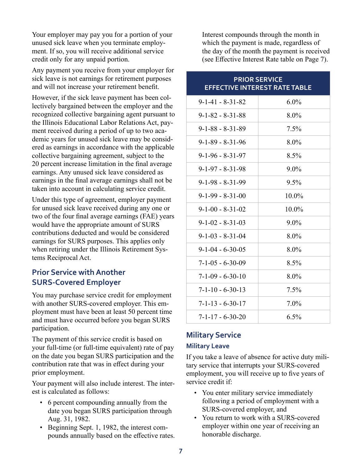Your employer may pay you for a portion of your unused sick leave when you terminate employment. If so, you will receive additional service credit only for any unpaid portion.

Any payment you receive from your employer for sick leave is not earnings for retirement purposes and will not increase your retirement benefit.

However, if the sick leave payment has been collectively bargained between the employer and the recognized collective bargaining agent pursuant to the Illinois Educational Labor Relations Act, payment received during a period of up to two academic years for unused sick leave may be considered as earnings in accordance with the applicable collective bargaining agreement, subject to the 20 percent increase limitation in the final average earnings. Any unused sick leave considered as earnings in the final average earnings shall not be taken into account in calculating service credit.

Under this type of agreement, employer payment for unused sick leave received during any one or two of the four final average earnings (FAE) years would have the appropriate amount of SURS contributions deducted and would be considered earnings for SURS purposes. This applies only when retiring under the Illinois Retirement Systems Reciprocal Act.

#### **Prior Service with Another SURS-Covered Employer**

You may purchase service credit for employment with another SURS-covered employer. This employment must have been at least 50 percent time and must have occurred before you began SURS participation.

The payment of this service credit is based on your full-time (or full-time equivalent) rate of pay on the date you began SURS participation and the contribution rate that was in effect during your prior employment.

Your payment will also include interest. The interest is calculated as follows:

- 6 percent compounding annually from the date you began SURS participation through Aug. 31, 1982.
- Beginning Sept. 1, 1982, the interest compounds annually based on the effective rates.

Interest compounds through the month in which the payment is made, regardless of the day of the month the payment is received (see Effective Interest Rate table on Page 7).

| <b>PRIOR SERVICE</b><br><b>EFFECTIVE INTEREST RATE TABLE</b> |         |  |  |  |
|--------------------------------------------------------------|---------|--|--|--|
| $9 - 1 - 41 - 8 - 31 - 82$                                   | $6.0\%$ |  |  |  |
| $9 - 1 - 82 - 8 - 31 - 88$                                   | $8.0\%$ |  |  |  |
| $9 - 1 - 88 - 8 - 31 - 89$                                   | 7.5%    |  |  |  |
| $9 - 1 - 89 - 8 - 31 - 96$                                   | $8.0\%$ |  |  |  |
| $9 - 1 - 96 - 8 - 31 - 97$                                   | $8.5\%$ |  |  |  |
| $9 - 1 - 97 - 8 - 31 - 98$                                   | $9.0\%$ |  |  |  |
| $9 - 1 - 98 - 8 - 31 - 99$                                   | $9.5\%$ |  |  |  |
| $9-1-99 - 8-31-00$                                           | 10.0%   |  |  |  |
| $9-1-00 - 8-31-02$                                           | 10.0%   |  |  |  |
| $9 - 1 - 02 - 8 - 31 - 03$                                   | $9.0\%$ |  |  |  |
| $9 - 1 - 03 - 8 - 31 - 04$                                   | $8.0\%$ |  |  |  |
| $9-1-04 - 6-30-05$                                           | $8.0\%$ |  |  |  |
| $7 - 1 - 05 - 6 - 30 - 09$                                   | $8.5\%$ |  |  |  |
| $7-1-09 - 6-30-10$                                           | $8.0\%$ |  |  |  |
| $7 - 1 - 10 - 6 - 30 - 13$                                   | 7.5%    |  |  |  |
| $7 - 1 - 13 - 6 - 30 - 17$                                   | $7.0\%$ |  |  |  |
| $7 - 1 - 17 - 6 - 30 - 20$                                   | $6.5\%$ |  |  |  |

## **Military Service Military Leave**

If you take a leave of absence for active duty military service that interrupts your SURS-covered employment, you will receive up to five years of service credit if:

- You enter military service immediately following a period of employment with a SURS-covered employer, and
- You return to work with a SURS-covered employer within one year of receiving an honorable discharge.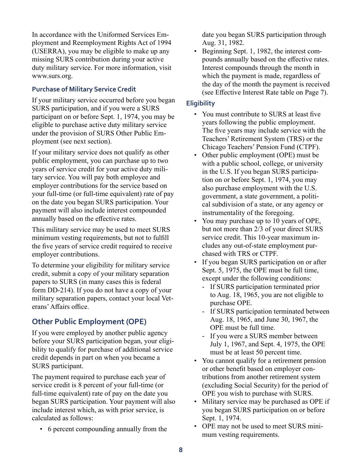In accordance with the Uniformed Services Employment and Reemployment Rights Act of 1994 (USERRA), you may be eligible to make up any missing SURS contribution during your active duty military service. For more information, visit www.surs.org.

#### **Purchase of Military Service Credit**

If your military service occurred before you began SURS participation, and if you were a SURS participant on or before Sept. 1, 1974, you may be eligible to purchase active duty military service under the provision of SURS Other Public Employment (see next section).

If your military service does not qualify as other public employment, you can purchase up to two years of service credit for your active duty military service. You will pay both employee and employer contributions for the service based on your full-time (or full-time equivalent) rate of pay on the date you began SURS participation. Your payment will also include interest compounded annually based on the effective rates.

This military service may be used to meet SURS minimum vesting requirements, but not to fulfill the five years of service credit required to receive employer contributions.

To determine your eligibility for military service credit, submit a copy of your military separation papers to SURS (in many cases this is federal form DD-214). If you do not have a copy of your military separation papers, contact your local Veterans' Affairs office.

## **Other Public Employment (OPE)**

If you were employed by another public agency before your SURS participation began, your eligibility to qualify for purchase of additional service credit depends in part on when you became a SURS participant.

The payment required to purchase each year of service credit is 8 percent of your full-time (or full-time equivalent) rate of pay on the date you began SURS participation. Your payment will also include interest which, as with prior service, is calculated as follows:

• 6 percent compounding annually from the

date you began SURS participation through Aug. 31, 1982.

• Beginning Sept. 1, 1982, the interest compounds annually based on the effective rates. Interest compounds through the month in which the payment is made, regardless of the day of the month the payment is received (see Effective Interest Rate table on Page 7).

#### **Eligibility**

- You must contribute to SURS at least five years following the public employment. The five years may include service with the Teachers' Retirement System (TRS) or the Chicago Teachers' Pension Fund (CTPF).
- Other public employment (OPE) must be with a public school, college, or university in the U.S. If you began SURS participation on or before Sept. 1, 1974, you may also purchase employment with the U.S. government, a state government, a political subdivision of a state, or any agency or instrumentality of the foregoing.
- You may purchase up to 10 years of OPE, but not more than 2/3 of your direct SURS service credit. This 10-year maximum includes any out-of-state employment purchased with TRS or CTPF.
- If you began SURS participation on or after Sept. 5, 1975, the OPE must be full time, except under the following conditions:
	- If SURS participation terminated prior to Aug. 18, 1965, you are not eligible to purchase OPE.
	- If SURS participation terminated between Aug. 18, 1965, and June 30, 1967, the OPE must be full time.
	- If you were a SURS member between July 1, 1967, and Sept. 4, 1975, the OPE must be at least 50 percent time.
- You cannot qualify for a retirement pension or other benefit based on employer contributions from another retirement system (excluding Social Security) for the period of OPE you wish to purchase with SURS.
- Military service may be purchased as OPE if you began SURS participation on or before Sept. 1, 1974.
- OPE may not be used to meet SURS minimum vesting requirements.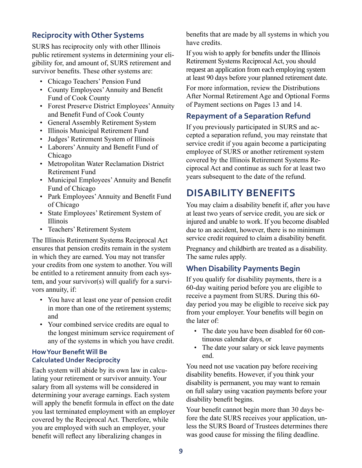#### **Reciprocity with Other Systems**

SURS has reciprocity only with other Illinois public retirement systems in determining your eligibility for, and amount of, SURS retirement and survivor benefits. These other systems are:

- Chicago Teachers' Pension Fund
- County Employees' Annuity and Benefit Fund of Cook County
- Forest Preserve District Employees' Annuity and Benefit Fund of Cook County
- General Assembly Retirement System
- Illinois Municipal Retirement Fund
- Judges' Retirement System of Illinois
- Laborers' Annuity and Benefit Fund of Chicago
- Metropolitan Water Reclamation District Retirement Fund
- Municipal Employees' Annuity and Benefit Fund of Chicago
- Park Employees' Annuity and Benefit Fund of Chicago
- State Employees' Retirement System of Illinois
- Teachers' Retirement System

The Illinois Retirement Systems Reciprocal Act ensures that pension credits remain in the system in which they are earned. You may not transfer your credits from one system to another. You will be entitled to a retirement annuity from each system, and your survivor(s) will qualify for a survivors annuity, if:

- You have at least one year of pension credit in more than one of the retirement systems; and
- Your combined service credits are equal to the longest minimum service requirement of any of the systems in which you have credit.

#### **How Your Benefit Will Be Calculated Under Reciprocity**

Each system will abide by its own law in calculating your retirement or survivor annuity. Your salary from all systems will be considered in determining your average earnings. Each system will apply the benefit formula in effect on the date you last terminated employment with an employer covered by the Reciprocal Act. Therefore, while you are employed with such an employer, your benefit will reflect any liberalizing changes in

benefits that are made by all systems in which you have credits.

If you wish to apply for benefits under the Illinois Retirement Systems Reciprocal Act, you should request an application from each employing system at least 90 days before your planned retirement date.

For more information, review the Distributions After Normal Retirement Age and Optional Forms of Payment sections on Pages 13 and 14.

## **Repayment of a Separation Refund**

If you previously participated in SURS and accepted a separation refund, you may reinstate that service credit if you again become a participating employee of SURS or another retirement system covered by the Illinois Retirement Systems Reciprocal Act and continue as such for at least two years subsequent to the date of the refund.

# **DISABILITY BENEFITS**

You may claim a disability benefit if, after you have at least two years of service credit, you are sick or injured and unable to work. If you become disabled due to an accident, however, there is no minimum service credit required to claim a disability benefit.

Pregnancy and childbirth are treated as a disability. The same rules apply.

#### **When Disability Payments Begin**

If you qualify for disability payments, there is a 60-day waiting period before you are eligible to receive a payment from SURS. During this 60 day period you may be eligible to receive sick pay from your employer. Your benefits will begin on the later of:

- The date you have been disabled for 60 continuous calendar days, or
- The date your salary or sick leave payments end.

You need not use vacation pay before receiving disability benefits. However, if you think your disability is permanent, you may want to remain on full salary using vacation payments before your disability benefit begins.

Your benefit cannot begin more than 30 days before the date SURS receives your application, unless the SURS Board of Trustees determines there was good cause for missing the filing deadline.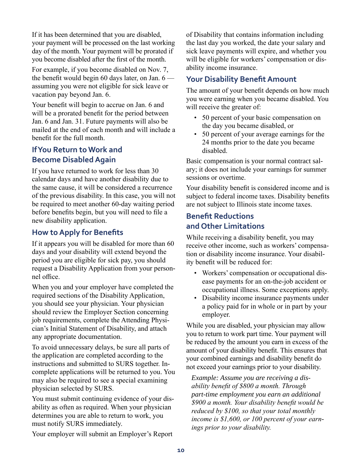If it has been determined that you are disabled, your payment will be processed on the last working day of the month. Your payment will be prorated if you become disabled after the first of the month.

For example, if you become disabled on Nov. 7, the benefit would begin 60 days later, on Jan.  $6$  assuming you were not eligible for sick leave or vacation pay beyond Jan. 6.

Your benefit will begin to accrue on Jan. 6 and will be a prorated benefit for the period between Jan. 6 and Jan. 31. Future payments will also be mailed at the end of each month and will include a benefit for the full month.

## **If You Return to Work and Become Disabled Again**

If you have returned to work for less than 30 calendar days and have another disability due to the same cause, it will be considered a recurrence of the previous disability. In this case, you will not be required to meet another 60-day waiting period before benefits begin, but you will need to file a new disability application.

## **How to Apply for Benefits**

If it appears you will be disabled for more than 60 days and your disability will extend beyond the period you are eligible for sick pay, you should request a Disability Application from your personnel office.

When you and your employer have completed the required sections of the Disability Application, you should see your physician. Your physician should review the Employer Section concerning job requirements, complete the Attending Physician's Initial Statement of Disability, and attach any appropriate documentation.

To avoid unnecessary delays, be sure all parts of the application are completed according to the instructions and submitted to SURS together. Incomplete applications will be returned to you. You may also be required to see a special examining physician selected by SURS.

You must submit continuing evidence of your disability as often as required. When your physician determines you are able to return to work, you must notify SURS immediately.

Your employer will submit an Employer's Report

of Disability that contains information including the last day you worked, the date your salary and sick leave payments will expire, and whether you will be eligible for workers' compensation or disability income insurance.

## **Your Disability Benefit Amount**

The amount of your benefit depends on how much you were earning when you became disabled. You will receive the greater of:

- 50 percent of your basic compensation on the day you became disabled, or
- 50 percent of your average earnings for the 24 months prior to the date you became disabled.

Basic compensation is your normal contract salary; it does not include your earnings for summer sessions or overtime.

Your disability benefit is considered income and is subject to federal income taxes. Disability benefits are not subject to Illinois state income taxes.

## **Benefit Reductions and Other Limitations**

While receiving a disability benefit, you may receive other income, such as workers' compensation or disability income insurance. Your disability benefit will be reduced for:

- Workers' compensation or occupational disease payments for an on-the-job accident or occupational illness. Some exceptions apply.
- Disability income insurance payments under a policy paid for in whole or in part by your employer.

While you are disabled, your physician may allow you to return to work part time. Your payment will be reduced by the amount you earn in excess of the amount of your disability benefit. This ensures that your combined earnings and disability benefit do not exceed your earnings prior to your disability.

*Example: Assume you are receiving a disability benefit of \$800 a month. Through part-time employment you earn an additional \$900 a month. Your disability benefit would be reduced by \$100, so that your total monthly income is \$1,600, or 100 percent of your earnings prior to your disability.*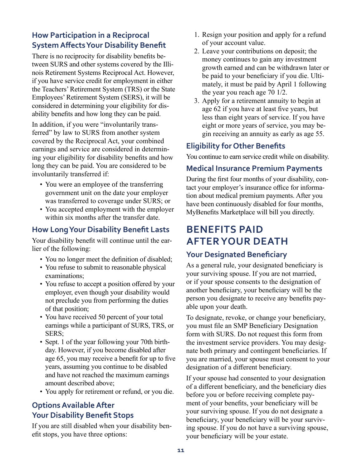## **How Participation in a Reciprocal System Affects Your Disability Benefit**

There is no reciprocity for disability benefits between SURS and other systems covered by the Illinois Retirement Systems Reciprocal Act. However, if you have service credit for employment in either the Teachers' Retirement System (TRS) or the State Employees' Retirement System (SERS), it will be considered in determining your eligibility for disability benefits and how long they can be paid.

In addition, if you were "involuntarily transferred" by law to SURS from another system covered by the Reciprocal Act, your combined earnings and service are considered in determining your eligibility for disability benefits and how long they can be paid. You are considered to be involuntarily transferred if:

- You were an employee of the transferring government unit on the date your employer was transferred to coverage under SURS; or
- You accepted employment with the employer within six months after the transfer date.

## **How Long Your Disability Benefit Lasts**

Your disability benefit will continue until the earlier of the following:

- You no longer meet the definition of disabled;
- You refuse to submit to reasonable physical examinations;
- You refuse to accept a position offered by your employer, even though your disability would not preclude you from performing the duties of that position;
- You have received 50 percent of your total earnings while a participant of SURS, TRS, or SERS;
- Sept. 1 of the year following your 70th birthday. However, if you become disabled after age 65, you may receive a benefit for up to five years, assuming you continue to be disabled and have not reached the maximum earnings amount described above;
- You apply for retirement or refund, or you die.

## **Options Available After Your Disability Benefit Stops**

If you are still disabled when your disability benefit stops, you have three options:

- 1. Resign your position and apply for a refund of your account value.
- 2. Leave your contributions on deposit; the money continues to gain any investment growth earned and can be withdrawn later or be paid to your beneficiary if you die. Ultimately, it must be paid by April 1 following the year you reach age 70 1/2.
- 3. Apply for a retirement annuity to begin at age 62 if you have at least five years, but less than eight years of service. If you have eight or more years of service, you may begin receiving an annuity as early as age 55.

## **Eligibility for Other Benefits**

You continue to earn service credit while on disability.

## **Medical Insurance Premium Payments**

During the first four months of your disability, contact your employer's insurance office for information about medical premium payments. After you have been continuously disabled for four months, MyBenefits Marketplace will bill you directly.

# **BENEFITS PAID AFTER YOUR DEATH**

#### **Your Designated Beneficiary**

As a general rule, your designated beneficiary is your surviving spouse. If you are not married, or if your spouse consents to the designation of another beneficiary, your beneficiary will be the person you designate to receive any benefits payable upon your death.

To designate, revoke, or change your beneficiary, you must file an SMP Beneficiary Designation form with SURS. Do not request this form from the investment service providers. You may designate both primary and contingent beneficiaries. If you are married, your spouse must consent to your designation of a different beneficiary.

If your spouse had consented to your designation of a different beneficiary, and the beneficiary dies before you or before receiving complete payment of your benefits, your beneficiary will be your surviving spouse. If you do not designate a beneficiary, your beneficiary will be your surviving spouse. If you do not have a surviving spouse, your beneficiary will be your estate.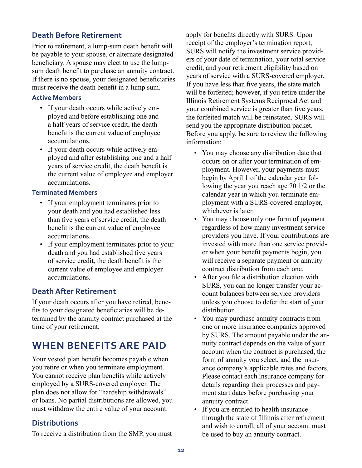#### **Death Before Retirement**

Prior to retirement, a lump-sum death benefit will be payable to your spouse, or alternate designated beneficiary. A spouse may elect to use the lumpsum death benefit to purchase an annuity contract. If there is no spouse, your designated beneficiaries must receive the death benefit in a lump sum.

#### **Active Members**

- If your death occurs while actively employed and before establishing one and a half years of service credit, the death benefit is the current value of employee accumulations.
- If your death occurs while actively employed and after establishing one and a half years of service credit, the death benefit is the current value of employee and employer accumulations.

#### **Terminated Members**

- If your employment terminates prior to your death and you had established less than five years of service credit, the death benefit is the current value of employee accumulations.
- If your employment terminates prior to your death and you had established five years of service credit, the death benefit is the current value of employee and employer accumulations.

#### **Death After Retirement**

If your death occurs after you have retired, benefits to your designated beneficiaries will be determined by the annuity contract purchased at the time of your retirement.

# **WHEN BENEFITS ARE PAID**

Your vested plan benefit becomes payable when you retire or when you terminate employment. You cannot receive plan benefits while actively employed by a SURS-covered employer. The plan does not allow for "hardship withdrawals" or loans. No partial distributions are allowed, you must withdraw the entire value of your account.

## **Distributions**

To receive a distribution from the SMP, you must

apply for benefits directly with SURS. Upon receipt of the employer's termination report, SURS will notify the investment service providers of your date of termination, your total service credit, and your retirement eligibility based on years of service with a SURS-covered employer. If you have less than five years, the state match will be forfeited; however, if you retire under the Illinois Retirement Systems Reciprocal Act and your combined service is greater than five years, the forfeited match will be reinstated. SURS will send you the appropriate distribution packet. Before you apply, be sure to review the following information:

- You may choose any distribution date that occurs on or after your termination of employment. However, your payments must begin by April 1 of the calendar year following the year you reach age 70 1/2 or the calendar year in which you terminate employment with a SURS-covered employer, whichever is later.
- You may choose only one form of payment regardless of how many investment service providers you have. If your contributions are invested with more than one service provider when your benefit payments begin, you will receive a separate payment or annuity contract distribution from each one.
- After you file a distribution election with SURS, you can no longer transfer your account balances between service providers unless you choose to defer the start of your distribution.
- You may purchase annuity contracts from one or more insurance companies approved by SURS. The amount payable under the annuity contract depends on the value of your account when the contract is purchased, the form of annuity you select, and the insurance company's applicable rates and factors. Please contact each insurance company for details regarding their processes and payment start dates before purchasing your annuity contract.
- If you are entitled to health insurance through the state of Illinois after retirement and wish to enroll, all of your account must be used to buy an annuity contract.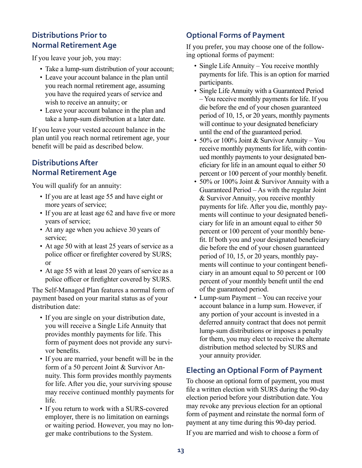## **Distributions Prior to Normal Retirement Age**

If you leave your job, you may:

- Take a lump-sum distribution of your account;
- Leave your account balance in the plan until you reach normal retirement age, assuming you have the required years of service and wish to receive an annuity; or
- Leave your account balance in the plan and take a lump-sum distribution at a later date.

If you leave your vested account balance in the plan until you reach normal retirement age, your benefit will be paid as described below.

## **Distributions After Normal Retirement Age**

You will qualify for an annuity:

- If you are at least age 55 and have eight or more years of service;
- If you are at least age 62 and have five or more years of service;
- At any age when you achieve 30 years of service;
- At age 50 with at least 25 years of service as a police officer or firefighter covered by SURS; or
- At age 55 with at least 20 years of service as a police officer or firefighter covered by SURS.

The Self-Managed Plan features a normal form of payment based on your marital status as of your distribution date:

- If you are single on your distribution date, you will receive a Single Life Annuity that provides monthly payments for life. This form of payment does not provide any survivor benefits.
- If you are married, your benefit will be in the form of a 50 percent Joint & Survivor Annuity. This form provides monthly payments for life. After you die, your surviving spouse may receive continued monthly payments for life.
- If you return to work with a SURS-covered employer, there is no limitation on earnings or waiting period. However, you may no longer make contributions to the System.

## **Optional Forms of Payment**

If you prefer, you may choose one of the following optional forms of payment:

- Single Life Annuity You receive monthly payments for life. This is an option for married participants.
- Single Life Annuity with a Guaranteed Period – You receive monthly payments for life. If you die before the end of your chosen guaranteed period of 10, 15, or 20 years, monthly payments will continue to your designated beneficiary until the end of the guaranteed period.
- 50% or 100% Joint & Survivor Annuity You receive monthly payments for life, with continued monthly payments to your designated beneficiary for life in an amount equal to either 50 percent or 100 percent of your monthly benefit.
- 50% or 100% Joint & Survivor Annuity with a Guaranteed Period – As with the regular Joint & Survivor Annuity, you receive monthly payments for life. After you die, monthly payments will continue to your designated beneficiary for life in an amount equal to either 50 percent or 100 percent of your monthly benefit. If both you and your designated beneficiary die before the end of your chosen guaranteed period of 10, 15, or 20 years, monthly payments will continue to your contingent beneficiary in an amount equal to 50 percent or 100 percent of your monthly benefit until the end of the guaranteed period.
- Lump-sum Payment You can receive your account balance in a lump sum. However, if any portion of your account is invested in a deferred annuity contract that does not permit lump-sum distributions or imposes a penalty for them, you may elect to receive the alternate distribution method selected by SURS and your annuity provider.

## **Electing an Optional Form of Payment**

To choose an optional form of payment, you must file a written election with SURS during the 90-day election period before your distribution date. You may revoke any previous election for an optional form of payment and reinstate the normal form of payment at any time during this 90-day period.

If you are married and wish to choose a form of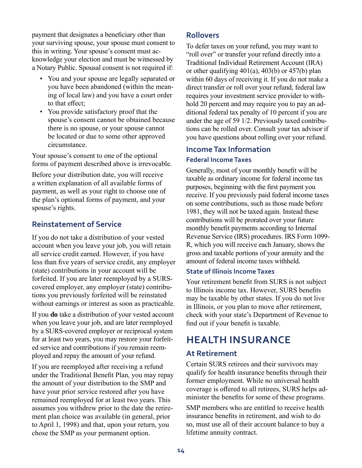payment that designates a beneficiary other than your surviving spouse, your spouse must consent to this in writing. Your spouse's consent must acknowledge your election and must be witnessed by a Notary Public. Spousal consent is not required if:

- You and your spouse are legally separated or you have been abandoned (within the meaning of local law) and you have a court order to that effect;
- You provide satisfactory proof that the spouse's consent cannot be obtained because there is no spouse, or your spouse cannot be located or due to some other approved circumstance.

Your spouse's consent to one of the optional forms of payment described above is irrevocable.

Before your distribution date, you will receive a written explanation of all available forms of payment, as well as your right to choose one of the plan's optional forms of payment, and your spouse's rights.

#### **Reinstatement of Service**

If you do not take a distribution of your vested account when you leave your job, you will retain all service credit earned. However, if you have less than five years of service credit, any employer (state) contributions in your account will be forfeited. If you are later reemployed by a SURScovered employer, any employer (state) contributions you previously forfeited will be reinstated without earnings or interest as soon as practicable.

If you **do** take a distribution of your vested account when you leave your job, and are later reemployed by a SURS-covered employer or reciprocal system for at least two years, you may restore your forfeited service and contributions if you remain reemployed and repay the amount of your refund.

If you are reemployed after receiving a refund under the Traditional Benefit Plan, you may repay the amount of your distribution to the SMP and have your prior service restored after you have remained reemployed for at least two years. This assumes you withdrew prior to the date the retirement plan choice was available (in general, prior to April 1, 1998) and that, upon your return, you chose the SMP as your permanent option.

#### **Rollovers**

To defer taxes on your refund, you may want to "roll over" or transfer your refund directly into a Traditional Individual Retirement Account (IRA) or other qualifying 401(a), 403(b) or 457(b) plan within 60 days of receiving it. If you do not make a direct transfer or roll over your refund, federal law requires your investment service provider to withhold 20 percent and may require you to pay an additional federal tax penalty of 10 percent if you are under the age of 59 1/2. Previously taxed contributions can be rolled over. Consult your tax advisor if you have questions about rolling over your refund.

#### **Income Tax Information Federal Income Taxes**

#### Generally, most of your monthly benefit will be taxable as ordinary income for federal income tax purposes, beginning with the first payment you receive. If you previously paid federal income taxes on some contributions, such as those made before 1981, they will not be taxed again. Instead these contributions will be prorated over your future monthly benefit payments according to Internal Revenue Service (IRS) procedures. IRS Form 1099- R, which you will receive each January, shows the gross and taxable portions of your annuity and the amount of federal income taxes withheld.

#### **State of Illinois Income Taxes**

Your retirement benefit from SURS is not subject to Illinois income tax. However, SURS benefits may be taxable by other states. If you do not live in Illinois, or you plan to move after retirement, check with your state's Department of Revenue to find out if your benefit is taxable.

# **HEALTH INSURANCE**

#### **At Retirement**

Certain SURS retirees and their survivors may qualify for health insurance benefits through their former employment. While no universal health coverage is offered to all retirees, SURS helps administer the benefits for some of these programs.

SMP members who are entitled to receive health insurance benefits in retirement, and wish to do so, must use all of their account balance to buy a lifetime annuity contract.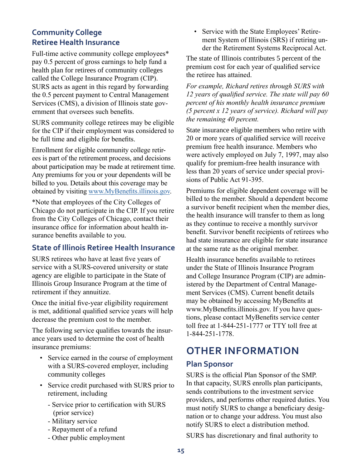## **Community College Retiree Health Insurance**

Full-time active community college employees\* pay 0.5 percent of gross earnings to help fund a health plan for retirees of community colleges called the College Insurance Program (CIP). SURS acts as agent in this regard by forwarding the 0.5 percent payment to Central Management Services (CMS), a division of Illinois state government that oversees such benefits.

SURS community college retirees may be eligible for the CIP if their employment was considered to be full time and eligible for benefits.

Enrollment for eligible community college retirees is part of the retirement process, and decisions about participation may be made at retirement time. Any premiums for you or your dependents will be billed to you. Details about this coverage may be obtained by visiting [www.MyBenefits.illinois.gov](http://www.MyBenefits.illinois.gov).

\*Note that employees of the City Colleges of Chicago do not participate in the CIP. If you retire from the City Colleges of Chicago, contact their insurance office for information about health insurance benefits available to you.

#### **State of Illinois Retiree Health Insurance**

SURS retirees who have at least five years of service with a SURS-covered university or state agency are eligible to participate in the State of Illinois Group Insurance Program at the time of retirement if they annuitize.

Once the initial five-year eligibility requirement is met, additional qualified service years will help decrease the premium cost to the member.

The following service qualifies towards the insurance years used to determine the cost of health insurance premiums:

- Service earned in the course of employment with a SURS-covered employer, including community colleges
- Service credit purchased with SURS prior to retirement, including
	- Service prior to certification with SURS (prior service)
	- Military service
	- Repayment of a refund
	- Other public employment

• Service with the State Employees' Retirement System of Illinois (SRS) if retiring under the Retirement Systems Reciprocal Act.

The state of Illinois contributes 5 percent of the premium cost for each year of qualified service the retiree has attained.

*For example, Richard retires through SURS with 12 years of qualified service. The state will pay 60 percent of his monthly health insurance premium (5 percent x 12 years of service). Richard will pay the remaining 40 percent.* 

State insurance eligible members who retire with 20 or more years of qualified service will receive premium free health insurance. Members who were actively employed on July 7, 1997, may also qualify for premium-free health insurance with less than 20 years of service under special provisions of Public Act 91-395.

Premiums for eligible dependent coverage will be billed to the member. Should a dependent become a survivor benefit recipient when the member dies, the health insurance will transfer to them as long as they continue to receive a monthly survivor benefit. Survivor benefit recipients of retirees who had state insurance are eligible for state insurance at the same rate as the original member.

Health insurance benefits available to retirees under the State of Illinois Insurance Program and College Insurance Program (CIP) are administered by the Department of Central Management Services (CMS). Current benefit details may be obtained by accessing MyBenefits at www.MyBenefits.illinois.gov. If you have questions, please contact MyBenefits service center toll free at 1-844-251-1777 or TTY toll free at 1-844-251-1778.

# **OTHER INFORMATION**

#### **Plan Sponsor**

SURS is the official Plan Sponsor of the SMP. In that capacity, SURS enrolls plan participants, sends contributions to the investment service providers, and performs other required duties. You must notify SURS to change a beneficiary designation or to change your address. You must also notify SURS to elect a distribution method.

SURS has discretionary and final authority to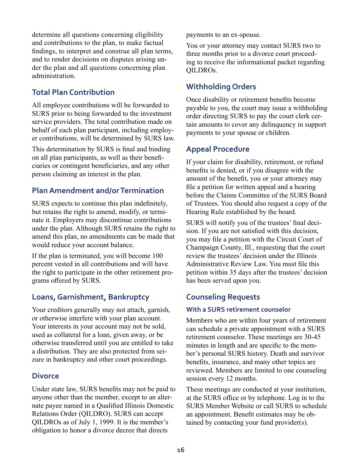determine all questions concerning eligibility and contributions to the plan, to make factual findings, to interpret and construe all plan terms, and to render decisions on disputes arising under the plan and all questions concerning plan administration.

## **Total Plan Contribution**

All employee contributions will be forwarded to SURS prior to being forwarded to the investment service providers. The total contribution made on behalf of each plan participant, including employer contributions, will be determined by SURS law.

This determination by SURS is final and binding on all plan participants, as well as their beneficiaries or contingent beneficiaries, and any other person claiming an interest in the plan.

## **Plan Amendment and/or Termination**

SURS expects to continue this plan indefinitely, but retains the right to amend, modify, or terminate it. Employers may discontinue contributions under the plan. Although SURS retains the right to amend this plan, no amendments can be made that would reduce your account balance.

If the plan is terminated, you will become 100 percent vested in all contributions and will have the right to participate in the other retirement programs offered by SURS.

## **Loans, Garnishment, Bankruptcy**

Your creditors generally may not attach, garnish, or otherwise interfere with your plan account. Your interests in your account may not be sold, used as collateral for a loan, given away, or be otherwise transferred until you are entitled to take a distribution. They are also protected from seizure in bankruptcy and other court proceedings.

#### **Divorce**

Under state law, SURS benefits may not be paid to anyone other than the member, except to an alternate payee named in a Qualified Illinois Domestic Relations Order (QILDRO). SURS can accept QILDROs as of July 1, 1999. It is the member's obligation to honor a divorce decree that directs

payments to an ex-spouse.

You or your attorney may contact SURS two to three months prior to a divorce court proceeding to receive the informational packet regarding QILDROs.

## **Withholding Orders**

Once disability or retirement benefits become payable to you, the court may issue a withholding order directing SURS to pay the court clerk certain amounts to cover any delinquency in support payments to your spouse or children.

## **Appeal Procedure**

If your claim for disability, retirement, or refund benefits is denied, or if you disagree with the amount of the benefit, you or your attorney may file a petition for written appeal and a hearing before the Claims Committee of the SURS Board of Trustees. You should also request a copy of the Hearing Rule established by the board.

SURS will notify you of the trustees' final decision. If you are not satisfied with this decision, you may file a petition with the Circuit Court of Champaign County, Ill., requesting that the court review the trustees' decision under the Illinois Administrative Review Law. You must file this petition within 35 days after the trustees' decision has been served upon you.

## **Counseling Requests**

#### **With a SURS retirement counselor**

Members who are within four years of retirement can schedule a private appointment with a SURS retirement counselor. These meetings are 30-45 minutes in length and are specific to the member's personal SURS history. Death and survivor benefits, insurance, and many other topics are reviewed. Members are limited to one counseling session every 12 months.

These meetings are conducted at your institution, at the SURS office or by telephone. Log in to the SURS Member Website or call SURS to schedule an appointment. Benefit estimates may be obtained by contacting your fund provider(s).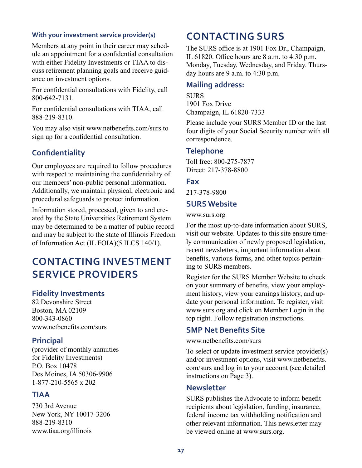#### **With your investment service provider(s)**

Members at any point in their career may schedule an appointment for a confidential consultation with either Fidelity Investments or TIAA to discuss retirement planning goals and receive guidance on investment options.

For confidential consultations with Fidelity, call 800-642-7131.

For confidential consultations with TIAA, call 888-219-8310.

You may also visit www.netbenefits.com/surs to sign up for a confidential consultation.

#### **Confidentiality**

Our employees are required to follow procedures with respect to maintaining the confidentiality of our members' non-public personal information. Additionally, we maintain physical, electronic and procedural safeguards to protect information.

Information stored, processed, given to and created by the State Universities Retirement System may be determined to be a matter of public record and may be subject to the state of Illinois Freedom of Information Act (IL FOIA)(5 ILCS 140/1).

# **CONTACTING INVESTMENT SERVICE PROVIDERS**

#### **Fidelity Investments**

82 Devonshire Street Boston, MA 02109 800-343-0860 www.netbenefits.com/surs

#### **Principal**

(provider of monthly annuities for Fidelity Investments) P.O. Box 10478 Des Moines, IA 50306-9906 1-877-210-5565 x 202

#### **TIAA**

730 3rd Avenue New York, NY 10017-3206 888-219-8310 www.tiaa.org/illinois

# **CONTACTING SURS**

The SURS office is at 1901 Fox Dr., Champaign, IL 61820. Office hours are 8 a.m. to 4:30 p.m. Monday, Tuesday, Wednesday, and Friday. Thursday hours are 9 a.m. to 4:30 p.m.

#### **Mailing address:**

**SURS** 1901 Fox Drive Champaign, IL 61820-7333

Please include your SURS Member ID or the last four digits of your Social Security number with all correspondence.

#### **Telephone**

Toll free: 800-275-7877 Direct: 217-378-8800

#### **Fax**

217-378-9800

#### **SURS Website**

www.surs.org

For the most up-to-date information about SURS, visit our website. Updates to this site ensure timely communication of newly proposed legislation, recent newsletters, important information about benefits, various forms, and other topics pertaining to SURS members.

Register for the SURS Member Website to check on your summary of benefits, view your employment history, view your earnings history, and update your personal information. To register, visit www.surs.org and click on Member Login in the top right. Follow registration instructions.

#### **SMP Net Benefits Site**

www.netbenefits.com/surs

To select or update investment service provider(s) and/or investment options, visit www.netbenefits. com/surs and log in to your account (see detailed instructions on Page 3).

#### **Newsletter**

SURS publishes the Advocate to inform benefit recipients about legislation, funding, insurance, federal income tax withholding notification and other relevant information. This newsletter may be viewed online at www.surs.org.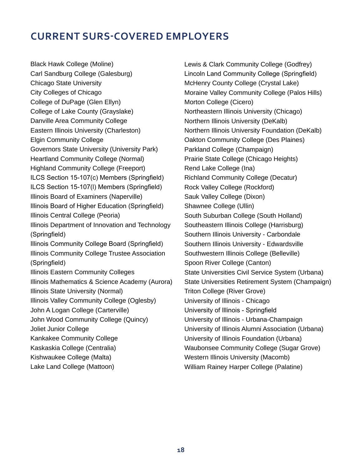# **CURRENT SURS-COVERED EMPLOYERS**

Black Hawk College (Moline) Carl Sandburg College (Galesburg) Chicago State University City Colleges of Chicago College of DuPage (Glen Ellyn) College of Lake County (Grayslake) Danville Area Community College Eastern Illinois University (Charleston) Elgin Community College Governors State University (University Park) Heartland Community College (Normal) Highland Community College (Freeport) ILCS Section 15-107(c) Members (Springfield) ILCS Section 15-107(l) Members (Springfield) Illinois Board of Examiners (Naperville) Illinois Board of Higher Education (Springfield) Illinois Central College (Peoria) Illinois Department of Innovation and Technology (Springfield) Illinois Community College Board (Springfield) Illinois Community College Trustee Association (Springfield) Illinois Eastern Community Colleges Illinois Mathematics & Science Academy (Aurora) Illinois State University (Normal) Illinois Valley Community College (Oglesby) John A Logan College (Carterville) John Wood Community College (Quincy) Joliet Junior College Kankakee Community College Kaskaskia College (Centralia) Kishwaukee College (Malta)

Lake Land College (Mattoon)

Lewis & Clark Community College (Godfrey) Lincoln Land Community College (Springfield) McHenry County College (Crystal Lake) Moraine Valley Community College (Palos Hills) Morton College (Cicero) Northeastern Illinois University (Chicago) Northern Illinois University (DeKalb) Northern Illinois University Foundation (DeKalb) Oakton Community College (Des Plaines) Parkland College (Champaign) Prairie State College (Chicago Heights) Rend Lake College (Ina) Richland Community College (Decatur) Rock Valley College (Rockford) Sauk Valley College (Dixon) Shawnee College (Ullin) South Suburban College (South Holland) Southeastern Illinois College (Harrisburg) Southern Illinois University - Carbondale Southern Illinois University - Edwardsville Southwestern Illinois College (Belleville) Spoon River College (Canton) State Universities Civil Service System (Urbana) State Universities Retirement System (Champaign) Triton College (River Grove) University of Illinois - Chicago University of Illinois - Springfield University of Illinois - Urbana-Champaign University of Illinois Alumni Association (Urbana) University of Illinois Foundation (Urbana) Waubonsee Community College (Sugar Grove) Western Illinois University (Macomb) William Rainey Harper College (Palatine)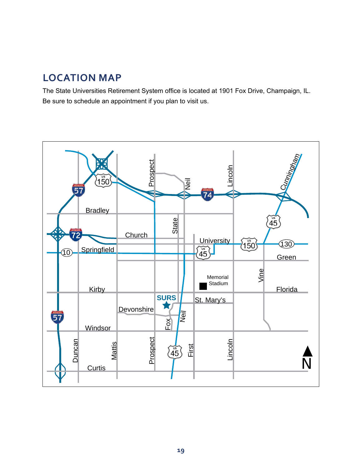# **LOCATION MAP**

The State Universities Retirement System office is located at 1901 Fox Drive, Champaign, IL. Be sure to schedule an appointment if you plan to visit us.